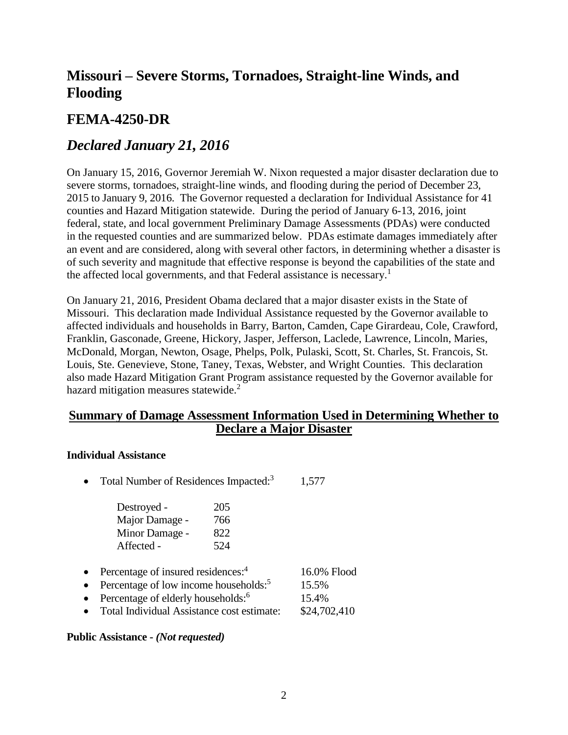# **Missouri – Severe Storms, Tornadoes, Straight-line Winds, and Flooding**

## **FEMA-4250-DR**

## *Declared January 21, 2016*

On January 15, 2016, Governor Jeremiah W. Nixon requested a major disaster declaration due to severe storms, tornadoes, straight-line winds, and flooding during the period of December 23, 2015 to January 9, 2016. The Governor requested a declaration for Individual Assistance for 41 counties and Hazard Mitigation statewide. During the period of January 6-13, 2016, joint federal, state, and local government Preliminary Damage Assessments (PDAs) were conducted in the requested counties and are summarized below. PDAs estimate damages immediately after an event and are considered, along with several other factors, in determining whether a disaster is of such severity and magnitude that effective response is beyond the capabilities of the state and the affected local governments, and that Federal assistance is necessary.<sup>1</sup>

On January 21, 2016, President Obama declared that a major disaster exists in the State of Missouri. This declaration made Individual Assistance requested by the Governor available to affected individuals and households in Barry, Barton, Camden, Cape Girardeau, Cole, Crawford, Franklin, Gasconade, Greene, Hickory, Jasper, Jefferson, Laclede, Lawrence, Lincoln, Maries, McDonald, Morgan, Newton, Osage, Phelps, Polk, Pulaski, Scott, St. Charles, St. Francois, St. Louis, Ste. Genevieve, Stone, Taney, Texas, Webster, and Wright Counties. This declaration also made Hazard Mitigation Grant Program assistance requested by the Governor available for hazard mitigation measures statewide.<sup>2</sup>

### **Summary of Damage Assessment Information Used in Determining Whether to Declare a Major Disaster**

### **Individual Assistance**

• Total Number of Residences Impacted:<sup>3</sup> 1,577

| Destroyed -    | 205 |
|----------------|-----|
| Major Damage - | 766 |
| Minor Damage - | 822 |
| Affected -     | 524 |

- Percentage of insured residences: $4$ 16.0% Flood
- Percentage of low income households: $5$ 15.5% 15.4%
- Percentage of elderly households: $6$
- Total Individual Assistance cost estimate: \$24,702,410

### **Public Assistance -** *(Not requested)*